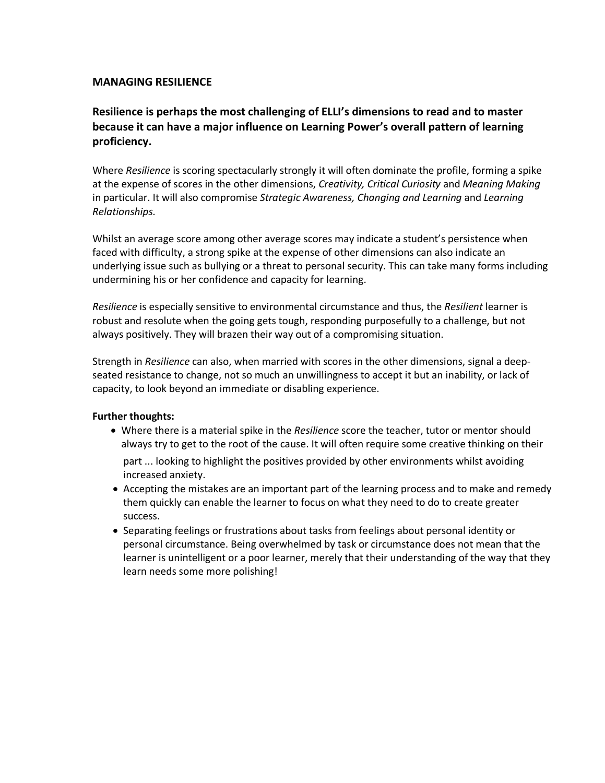## **MANAGING RESILIENCE**

## **Resilience is perhaps the most challenging of ELLI's dimensions to read and to master because it can have a major influence on Learning Power's overall pattern of learning proficiency.**

Where *Resilience* is scoring spectacularly strongly it will often dominate the profile, forming a spike at the expense of scores in the other dimensions, *Creativity, Critical Curiosity* and *Meaning Making* in particular. It will also compromise *Strategic Awareness, Changing and Learning* and *Learning Relationships.* 

Whilst an average score among other average scores may indicate a student's persistence when faced with difficulty, a strong spike at the expense of other dimensions can also indicate an underlying issue such as bullying or a threat to personal security. This can take many forms including undermining his or her confidence and capacity for learning.

*Resilience* is especially sensitive to environmental circumstance and thus, the *Resilient* learner is robust and resolute when the going gets tough, responding purposefully to a challenge, but not always positively. They will brazen their way out of a compromising situation.

Strength in *Resilience* can also, when married with scores in the other dimensions, signal a deep seated resistance to change, not so much an unwillingness to accept it but an inability, or lack of capacity, to look beyond an immediate or disabling experience.

## **Further thoughts:**

• Where there is a material spike in the *Resilience* score the teacher, tutor or mentor should always try to get to the root of the cause. It will often require some creative thinking on their

increased anxiety. part ... looking to highlight the positives provided by other environments whilst avoiding

- success. them quickly can enable the learner to focus on what they need to do to create greater • Accepting the mistakes are an important part of the learning process and to make and remedy
- learn needs some more polishing! learner is unintelligent or a poor learner, merely that their understanding of the way that they personal circumstance. Being overwhelmed by task or circumstance does not mean that the • Separating feelings or frustrations about tasks from feelings about personal identity or